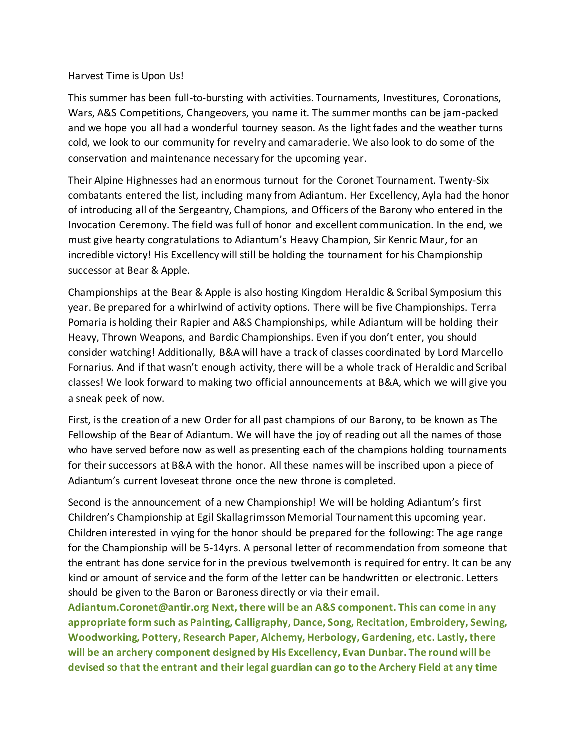## Harvest Time is Upon Us!

This summer has been full-to-bursting with activities. Tournaments, Investitures, Coronations, Wars, A&S Competitions, Changeovers, you name it. The summer months can be jam-packed and we hope you all had a wonderful tourney season. As the light fades and the weather turns cold, we look to our community for revelry and camaraderie. We also look to do some of the conservation and maintenance necessary for the upcoming year.

Their Alpine Highnesses had an enormous turnout for the Coronet Tournament. Twenty-Six combatants entered the list, including many from Adiantum. Her Excellency, Ayla had the honor of introducing all of the Sergeantry, Champions, and Officers of the Barony who entered in the Invocation Ceremony. The field was full of honor and excellent communication. In the end, we must give hearty congratulations to Adiantum's Heavy Champion, Sir Kenric Maur, for an incredible victory! His Excellency will still be holding the tournament for his Championship successor at Bear & Apple.

Championships at the Bear & Apple is also hosting Kingdom Heraldic & Scribal Symposium this year. Be prepared for a whirlwind of activity options. There will be five Championships. Terra Pomaria is holding their Rapier and A&S Championships, while Adiantum will be holding their Heavy, Thrown Weapons, and Bardic Championships. Even if you don't enter, you should consider watching! Additionally, B&A will have a track of classes coordinated by Lord Marcello Fornarius. And if that wasn't enough activity, there will be a whole track of Heraldic and Scribal classes! We look forward to making two official announcements at B&A, which we will give you a sneak peek of now.

First, is the creation of a new Order for all past champions of our Barony, to be known as The Fellowship of the Bear of Adiantum. We will have the joy of reading out all the names of those who have served before now as well as presenting each of the champions holding tournaments for their successors at B&A with the honor. All these names will be inscribed upon a piece of Adiantum's current loveseat throne once the new throne is completed.

Second is the announcement of a new Championship! We will be holding Adiantum's first Children's Championship at Egil Skallagrimsson Memorial Tournament this upcoming year. Children interested in vying for the honor should be prepared for the following: The age range for the Championship will be 5-14yrs. A personal letter of recommendation from someone that the entrant has done service for in the previous twelvemonth is required for entry. It can be any kind or amount of service and the form of the letter can be handwritten or electronic. Letters should be given to the Baron or Baroness directly or via their email.

**Adiantum.Coronet@antir.org Next, there will be an A&S component. This can come in any appropriate form such as Painting, Calligraphy, Dance, Song, Recitation, Embroidery, Sewing, Woodworking, Pottery, Research Paper, Alchemy, Herbology, Gardening, etc. Lastly, there will be an archery component designed by His Excellency, Evan Dunbar. The round will be devised so that the entrant and their legal guardian can go to the Archery Field at any time**